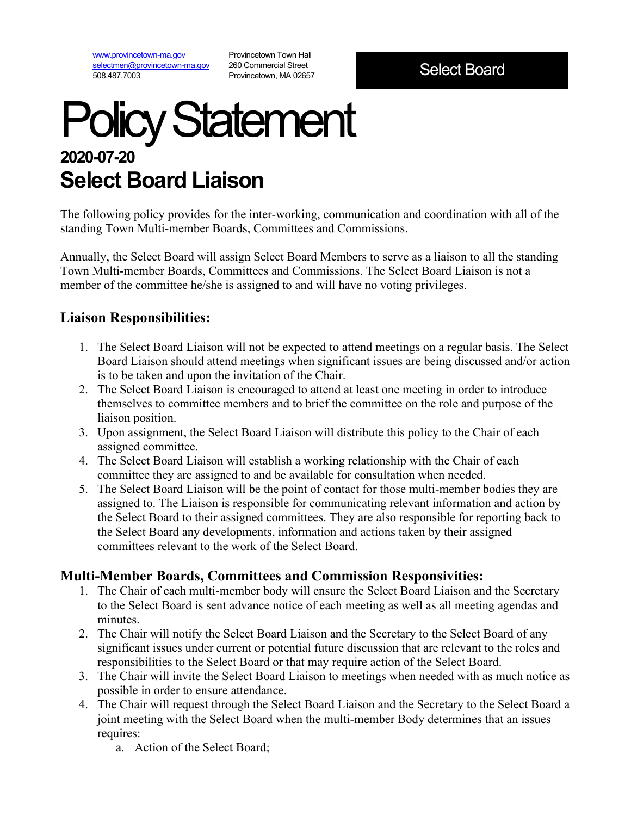[www.provincetown-ma.gov](http://www.provincetown-ma.gov/) [selectmen@provincetown-ma.gov](mailto:selectmen@provincetown-ma.gov) 508.487.7003

Provincetown Town Hall 260 Commercial Street Provincetown, MA 02657

Select Board

## Policy Statement **2020-07-20 Select Board Liaison**

The following policy provides for the inter-working, communication and coordination with all of the standing Town Multi-member Boards, Committees and Commissions.

Annually, the Select Board will assign Select Board Members to serve as a liaison to all the standing Town Multi-member Boards, Committees and Commissions. The Select Board Liaison is not a member of the committee he/she is assigned to and will have no voting privileges.

## **Liaison Responsibilities:**

- 1. The Select Board Liaison will not be expected to attend meetings on a regular basis. The Select Board Liaison should attend meetings when significant issues are being discussed and/or action is to be taken and upon the invitation of the Chair.
- 2. The Select Board Liaison is encouraged to attend at least one meeting in order to introduce themselves to committee members and to brief the committee on the role and purpose of the liaison position.
- 3. Upon assignment, the Select Board Liaison will distribute this policy to the Chair of each assigned committee.
- 4. The Select Board Liaison will establish a working relationship with the Chair of each committee they are assigned to and be available for consultation when needed.
- 5. The Select Board Liaison will be the point of contact for those multi-member bodies they are assigned to. The Liaison is responsible for communicating relevant information and action by the Select Board to their assigned committees. They are also responsible for reporting back to the Select Board any developments, information and actions taken by their assigned committees relevant to the work of the Select Board.

## **Multi-Member Boards, Committees and Commission Responsivities:**

- 1. The Chair of each multi-member body will ensure the Select Board Liaison and the Secretary to the Select Board is sent advance notice of each meeting as well as all meeting agendas and minutes.
- 2. The Chair will notify the Select Board Liaison and the Secretary to the Select Board of any significant issues under current or potential future discussion that are relevant to the roles and responsibilities to the Select Board or that may require action of the Select Board.
- 3. The Chair will invite the Select Board Liaison to meetings when needed with as much notice as possible in order to ensure attendance.
- 4. The Chair will request through the Select Board Liaison and the Secretary to the Select Board a joint meeting with the Select Board when the multi-member Body determines that an issues requires:
	- a. Action of the Select Board;